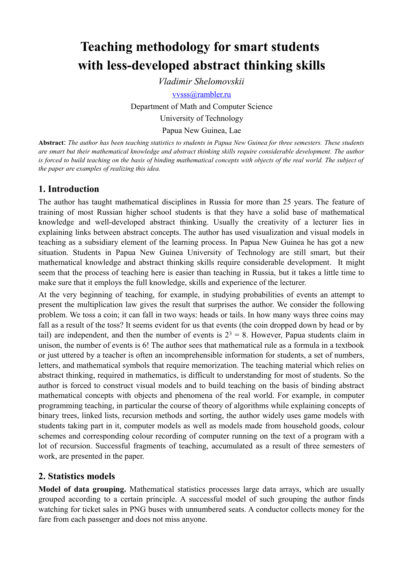# **Teaching methodology for smart students with less-developed abstract thinking skills**

*Vladimir Shelomovskii* vvss[s @ rambler. ru](mailto:hlchi@cs.selu.edu) Department of Math and Computer Science University of Technology Papua New Guinea, Lae

**Abstract**: *The author has been teaching statistics to students in Papua New Guinea for three semesters. These students are smart but their mathematical knowledge and abstract thinking skills require considerable development. The author is forced to build teaching on the basis of binding mathematical concepts with objects of the real world. The subject of the paper are examples of realizing this idea.*

### **1. Introduction**

The author has taught mathematical disciplines in Russia for more than 25 years. The feature of training of most Russian higher school students is that they have a solid base of mathematical knowledge and well-developed abstract thinking. Usually the creativity of a lecturer lies in explaining links between abstract concepts. The author has used visualization and visual models in teaching as a subsidiary element of the learning process. In Papua New Guinea he has got a new situation. Students in Papua New Guinea University of Technology are still smart, but their mathematical knowledge and abstract thinking skills require considerable development. It might seem that the process of teaching here is easier than teaching in Russia, but it takes a little time to make sure that it employs the full knowledge, skills and experience of the lecturer.

At the very beginning of teaching, for example, in studying probabilities of events an attempt to present the multiplication law gives the result that surprises the author. We consider the following problem. We toss a coin; it can fall in two ways: heads or tails. In how many ways three coins may fall as a result of the toss? It seems evident for us that events (the coin dropped down by head or by tail) are independent, and then the number of events is  $2^3 = 8$ . However, Papua students claim in unison, the number of events is 6! The author sees that mathematical rule as a formula in a textbook or just uttered by a teacher is often an incomprehensible information for students, a set of numbers, letters, and mathematical symbols that require memorization. The teaching material which relies on abstract thinking, required in mathematics, is difficult to understanding for most of students. So the author is forced to construct visual models and to build teaching on the basis of binding abstract mathematical concepts with objects and phenomena of the real world. For example, in computer programming teaching, in particular the course of theory of algorithms while explaining concepts of binary trees, linked lists, recursion methods and sorting, the author widely uses game models with students taking part in it, computer models as well as models made from household goods, colour schemes and corresponding colour recording of computer running on the text of a program with a lot of recursion. Successful fragments of teaching, accumulated as a result of three semesters of work, are presented in the paper.

### **2. Statistics models**

**Model of data grouping.** Mathematical statistics processes large data arrays, which are usually grouped according to a certain principle. A successful model of such grouping the author finds watching for ticket sales in PNG buses with unnumbered seats. A conductor collects money for the fare from each passenger and does not miss anyone.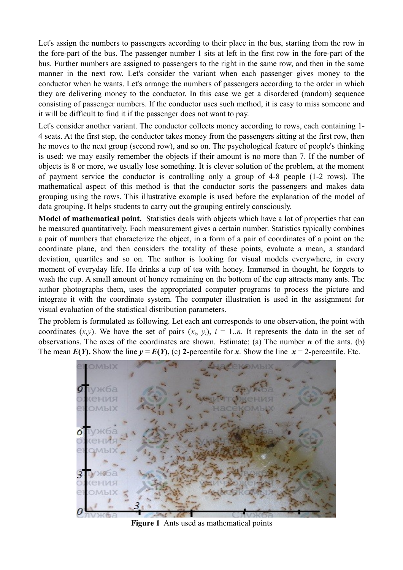Let's assign the numbers to passengers according to their place in the bus, starting from the row in the fore-part of the bus. The passenger number 1 sits at left in the first row in the fore-part of the bus. Further numbers are assigned to passengers to the right in the same row, and then in the same manner in the next row. Let's consider the variant when each passenger gives money to the conductor when he wants. Let's arrange the numbers of passengers according to the order in which they are delivering money to the conductor. In this case we get a disordered (random) sequence consisting of passenger numbers. If the conductor uses such method, it is easy to miss someone and it will be difficult to find it if the passenger does not want to pay.

Let's consider another variant. The conductor collects money according to rows, each containing 1- 4 seats. At the first step, the conductor takes money from the passengers sitting at the first row, then he moves to the next group (second row), and so on. The psychological feature of people's thinking is used: we may easily remember the objects if their amount is no more than 7. If the number of objects is 8 or more, we usually lose something. It is clever solution of the problem, at the moment of payment service the conductor is controlling only a group of 4-8 people (1-2 rows). The mathematical aspect of this method is that the conductor sorts the passengers and makes data grouping using the rows. This illustrative example is used before the explanation of the model of data grouping. It helps students to carry out the grouping entirely consciously.

**Model of mathematical point.** Statistics deals with objects which have a lot of properties that can be measured quantitatively. Each measurement gives a certain number. Statistics typically combines a pair of numbers that characterize the object, in a form of a pair of coordinates of a point on the coordinate plane, and then considers the totality of these points, evaluate a mean, a standard deviation, quartiles and so on. The author is looking for visual models everywhere, in every moment of everyday life. He drinks a cup of tea with honey. Immersed in thought, he forgets to wash the cup. A small amount of honey remaining on the bottom of the cup attracts many ants. The author photographs them, uses the appropriated computer programs to process the picture and integrate it with the coordinate system. The computer illustration is used in the assignment for visual evaluation of the statistical distribution parameters.

The problem is formulated as following. Let each ant corresponds to one observation, the point with coordinates  $(x, y)$ . We have the set of pairs  $(x_i, y_i)$ ,  $i = 1..n$ . It represents the data in the set of observations. The axes of the coordinates are shown. Estimate: (a) The number  $n$  of the ants. (b) The mean  $E(Y)$ . Show the line  $y = E(Y)$ , (c) 2-percentile for *x*. Show the line  $x = 2$ -percentile. Etc.



**Figure 1** Ants used as mathematical points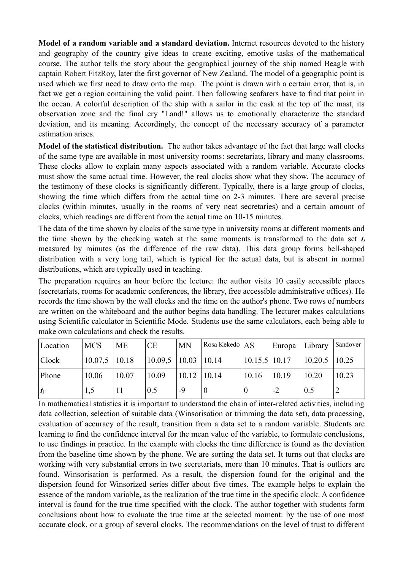**Model of a random variable and a standard deviation.** Internet resources devoted to the history and geography of the country give ideas to create exciting, emotive tasks of the mathematical course. The author tells the story about the geographical journey of the ship named Beagle with captain Robert FitzRoy, later the first governor of New Zealand. The model of a geographic point is used which we first need to draw onto the map. The point is drawn with a certain error, that is, in fact we get a region containing the valid point. Then following seafarers have to find that point in the ocean. A colorful description of the ship with a sailor in the cask at the top of the mast, its observation zone and the final cry "Land!" allows us to emotionally characterize the standard deviation, and its meaning. Accordingly, the concept of the necessary accuracy of a parameter estimation arises.

**Model of the statistical distribution.** The author takes advantage of the fact that large wall clocks of the same type are available in most university rooms: secretariats, library and many classrooms. These clocks allow to explain many aspects associated with a random variable. Accurate clocks must show the same actual time. However, the real clocks show what they show. The accuracy of the testimony of these clocks is significantly different. Typically, there is a large group of clocks, showing the time which differs from the actual time on 2-3 minutes. There are several precise clocks (within minutes, usually in the rooms of very neat secretaries) and a certain amount of clocks, which readings are different from the actual time on 10-15 minutes.

The data of the time shown by clocks of the same type in university rooms at different moments and the time shown by the checking watch at the same moments is transformed to the data set *t<sup>i</sup>* measured by minutes (as the difference of the raw data). This data group forms bell-shaped distribution with a very long tail, which is typical for the actual data, but is absent in normal distributions, which are typically used in teaching.

The preparation requires an hour before the lecture: the author visits 10 easily accessible places (secretariats, rooms for academic conferences, the library, free accessible administrative offices). He records the time shown by the wall clocks and the time on the author's phone. Two rows of numbers are written on the whiteboard and the author begins data handling. The lecturer makes calculations using Scientific calculator in Scientific Mode. Students use the same calculators, each being able to make own calculations and check the results.

| Location | <b>MCS</b>        | <b>ME</b> | CE                        | <b>MN</b>       | Rosa Kekedo   AS |                                   | Europa Library |                 | Sandover |
|----------|-------------------|-----------|---------------------------|-----------------|------------------|-----------------------------------|----------------|-----------------|----------|
| Clock    | $10.07,5$   10.18 |           | $10.09,5$   10.03   10.14 |                 |                  | $\vert 10.15.5 \vert 10.17 \vert$ |                | $10.20.5$ 10.25 |          |
| Phone    | 10.06             | 10.07     | 10.09                     | $10.12$   10.14 |                  | 10.16                             | 10.19          | 10.20           | 10.23    |
| $ t_i $  | 1,5               |           | 0.5                       | -9              |                  |                                   | -2             | 0.5             | ∠        |

In mathematical statistics it is important to understand the chain of inter-related activities, including data collection, selection of suitable data (Winsorisation or trimming the data set), data processing, evaluation of accuracy of the result, transition from a data set to a random variable. Students are learning to find the confidence interval for the mean value of the variable, to formulate conclusions, to use findings in practice. In the example with clocks the time difference is found as the deviation from the baseline time shown by the phone. We are sorting the data set. It turns out that clocks are working with very substantial errors in two secretariats, more than 10 minutes. That is outliers are found. Winsorisation is performed. As a result, the dispersion found for the original and the dispersion found for Winsorized series differ about five times. The example helps to explain the essence of the random variable, as the realization of the true time in the specific clock. A confidence interval is found for the true time specified with the clock. The author together with students form conclusions about how to evaluate the true time at the selected moment: by the use of one most accurate clock, or a group of several clocks. The recommendations on the level of trust to different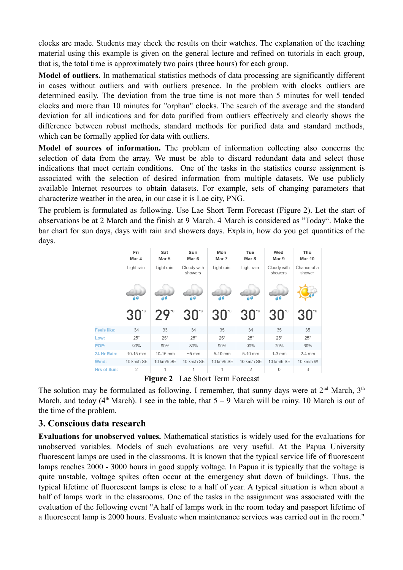clocks are made. Students may check the results on their watches. The explanation of the teaching material using this example is given on the general lecture and refined on tutorials in each group, that is, the total time is approximately two pairs (three hours) for each group.

**Model of outliers.** In mathematical statistics methods of data processing are significantly different in cases without outliers and with outliers presence. In the problem with clocks outliers are determined easily. The deviation from the true time is not more than 5 minutes for well tended clocks and more than 10 minutes for "orphan" clocks. The search of the average and the standard deviation for all indications and for data purified from outliers effectively and clearly shows the difference between robust methods, standard methods for purified data and standard methods, which can be formally applied for data with outliers.

**Model of sources of information.** The problem of information collecting also concerns the selection of data from the array. We must be able to discard redundant data and select those indications that meet certain conditions. One of the tasks in the statistics course assignment is associated with the selection of desired information from multiple datasets. We use publicly available Internet resources to obtain datasets. For example, sets of changing parameters that characterize weather in the area, in our case it is Lae city, PNG.

The problem is formulated as following. Use Lae Short Term Forecast (Figure 2). Let the start of observations be at 2 March and the finish at 9 March. 4 March is considered as "Today". Make the bar chart for sun days, days with rain and showers days. Explain, how do you get quantities of the days.



**Figure 2** Lae Short Term Forecast

The solution may be formulated as following. I remember, that sunny days were at  $2<sup>nd</sup>$  March,  $3<sup>th</sup>$ March, and today (4<sup>th</sup> March). I see in the table, that  $5 - 9$  March will be rainy. 10 March is out of the time of the problem.

## **3. Conscious data research**

**Evaluations for unobserved values.** Mathematical statistics is widely used for the evaluations for unobserved variables. Models of such evaluations are very useful. At the Papua University fluorescent lamps are used in the classrooms. It is known that the typical service life of fluorescent lamps reaches 2000 - 3000 hours in good supply voltage. In Papua it is typically that the voltage is quite unstable, voltage spikes often occur at the emergency shut down of buildings. Thus, the typical lifetime of fluorescent lamps is close to a half of year. A typical situation is when about a half of lamps work in the classrooms. One of the tasks in the assignment was associated with the evaluation of the following event "A half of lamps work in the room today and passport lifetime of a fluorescent lamp is 2000 hours. Evaluate when maintenance services was carried out in the room."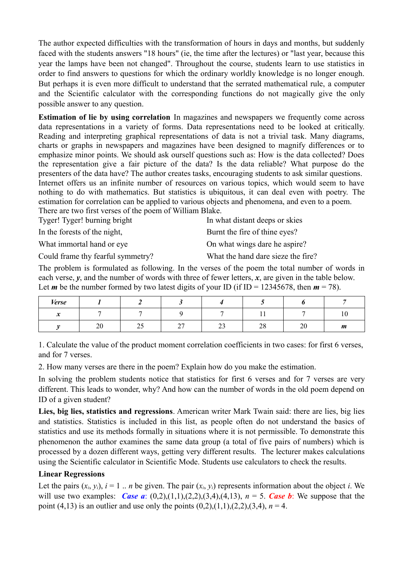The author expected difficulties with the transformation of hours in days and months, but suddenly faced with the students answers "18 hours" (ie, the time after the lectures) or "last year, because this year the lamps have been not changed". Throughout the course, students learn to use statistics in order to find answers to questions for which the ordinary worldly knowledge is no longer enough. But perhaps it is even more difficult to understand that the serrated mathematical rule, a computer and the Scientific calculator with the corresponding functions do not magically give the only possible answer to any question.

**Estimation of lie by using correlation** In magazines and newspapers we frequently come across data representations in a variety of forms. Data representations need to be looked at critically. Reading and interpreting graphical representations of data is not a trivial task. Many diagrams, charts or graphs in newspapers and magazines have been designed to magnify differences or to emphasize minor points. We should ask ourself questions such as: How is the data collected? Does the representation give a fair picture of the data? Is the data reliable? What purpose do the presenters of the data have? The author creates tasks, encouraging students to ask similar questions. Internet offers us an infinite number of resources on various topics, which would seem to have nothing to do with mathematics. But statistics is ubiquitous, it can deal even with poetry. The estimation for correlation can be applied to various objects and phenomena, and even to a poem. There are two first verses of the poem of William Blake.

Tyger! Tyger! burning bright In what distant deeps or skies

| In the forests of the night,      | Burnt the fire of thine eyes?      |
|-----------------------------------|------------------------------------|
| What immortal hand or eye         | On what wings dare he aspire?      |
| Could frame thy fearful symmetry? | What the hand dare sieze the fire? |

The problem is formulated as following. In the verses of the poem the total number of words in each verse,  $\gamma$ , and the number of words with three of fewer letters,  $\chi$ , are given in the table below. Let *m* be the number formed by two latest digits of your ID (if ID = 12345678, then  $m = 78$ ).

| <b>Verse</b>                       |          |     |        |     |            |        |    |
|------------------------------------|----------|-----|--------|-----|------------|--------|----|
| $\bullet$<br>$\tilde{\phantom{a}}$ |          |     |        |     | <u>. .</u> |        | 10 |
|                                    | oc<br>∠∪ | ن ک | $\sim$ | ت ک | co<br>20   | $\sim$ | m  |

1. Calculate the value of the product moment correlation coefficients in two cases: for first 6 verses, and for 7 verses.

2. How many verses are there in the poem? Explain how do you make the estimation.

In solving the problem students notice that statistics for first 6 verses and for 7 verses are very different. This leads to wonder, why? And how can the number of words in the old poem depend on ID of a given student?

**Lies, big lies, statistics and regressions**. American writer Mark Twain said: there are lies, big lies and statistics. Statistics is included in this list, as people often do not understand the basics of statistics and use its methods formally in situations where it is not permissible. To demonstrate this phenomenon the author examines the same data group (a total of five pairs of numbers) which is processed by a dozen different ways, getting very different results. The lecturer makes calculations using the Scientific calculator in Scientific Mode. Students use calculators to check the results.

#### **Linear Regressions**

Let the pairs  $(x_i, y_i)$ ,  $i = 1$ ... *n* be given. The pair  $(x_i, y_i)$  represents information about the object *i*. We will use two examples: *Case a*:  $(0,2)$ , $(1,1)$ , $(2,2)$ , $(3,4)$ , $(4,13)$ ,  $n = 5$ . *Case b*: We suppose that the point (4,13) is an outlier and use only the points  $(0,2)$ , $(1,1)$ , $(2,2)$ , $(3,4)$ ,  $n = 4$ .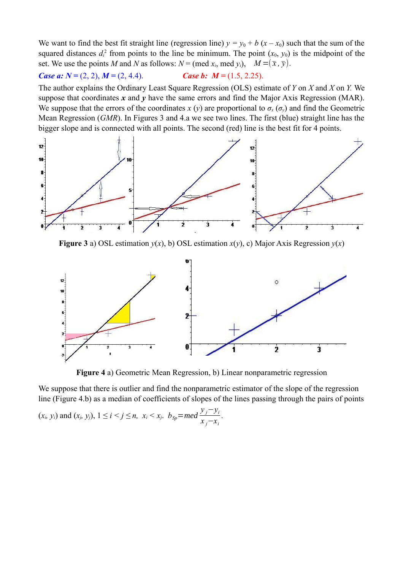We want to find the best fit straight line (regression line)  $y = y_0 + b(x - x_0)$  such that the sum of the squared distances  $d_i^2$  from points to the line be minimum. The point  $(x_0, y_0)$  is the midpoint of the set. We use the points *M* and *N* as follows:  $N = (med x_i, med y_i), M = (\bar{x}, \bar{y}).$ 

#### *Case a:*  $N = (2, 2), M = (2, 4.4).$  *Case b: M =* (1.5, 2.25).

The author explains the Ordinary Least Square Regression (OLS) estimate of *Y* on *X* and *X* on *Y.* We suppose that coordinates *x* and *y* have the same errors and find the Major Axis Regression (MAR). We suppose that the errors of the coordinates *x* (*y*) are proportional to  $\sigma_x(\sigma_y)$  and find the Geometric Mean Regression (*GMR*). In Figures 3 and 4.a we see two lines. The first (blue) straight line has the bigger slope and is connected with all points. The second (red) line is the best fit for 4 points.



**Figure 3** a) OSL estimation  $y(x)$ , b) OSL estimation  $x(y)$ , c) Major Axis Regression  $y(x)$ 



**Figure 4** a) Geometric Mean Regression, b) Linear nonparametric regression

We suppose that there is outlier and find the nonparametric estimator of the slope of the regression line (Figure 4.b) as a median of coefficients of slopes of the lines passing through the pairs of points

$$
(x_i, y_i)
$$
 and  $(x_j, y_j)$ ,  $1 \le i < j \le n$ ,  $x_i < x_j$ .  $b_{Sp} = med \frac{y_j - y_i}{x_j - x_i}$ .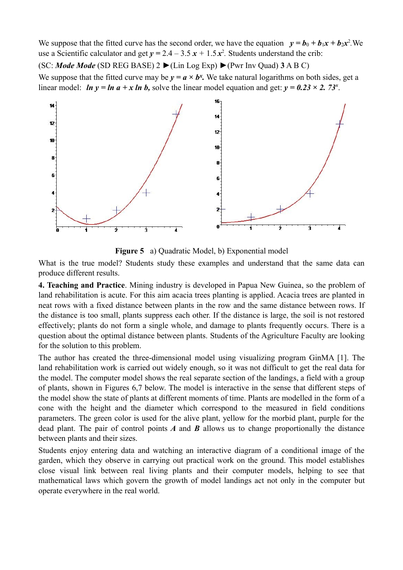We suppose that the fitted curve has the second order, we have the equation  $y = b_0 + b_1x + b_2x^2$ . We use a Scientific calculator and get  $y = 2.4 - 3.5 x + 1.5 x^2$ . Students understand the crib:

(SC: *Mode Mode* (SD REG BASE) 2 ►(Lin Log Exp) ►(Pwr Inv Quad) **3** A B C)

We suppose that the fitted curve may be  $y = a \times b^x$ . We take natural logarithms on both sides, get a linear model: *ln y = ln a + x ln b*, solve the linear model equation and get:  $y = 0.23 \times 2.73^{x}$ .



**Figure 5** a) Quadratic Model, b) Exponential model

What is the true model? Students study these examples and understand that the same data can produce different results.

**4. Teaching and Practice**. Mining industry is developed in Papua New Guinea, so the problem of land rehabilitation is acute. For this aim acacia trees planting is applied. Acacia trees are planted in neat rows with a fixed distance between plants in the row and the same distance between rows. If the distance is too small, plants suppress each other. If the distance is large, the soil is not restored effectively; plants do not form a single whole, and damage to plants frequently occurs. There is a question about the optimal distance between plants. Students of the Agriculture Faculty are looking for the solution to this problem.

The author has created the three-dimensional model using visualizing program GinMA [1]. The land rehabilitation work is carried out widely enough, so it was not difficult to get the real data for the model. The computer model shows the real separate section of the landings, a field with a group of plants, shown in Figures 6,7 below. The model is interactive in the sense that different steps of the model show the state of plants at different moments of time. Plants are modelled in the form of a cone with the height and the diameter which correspond to the measured in field conditions parameters. The green color is used for the alive plant, yellow for the morbid plant, purple for the dead plant. The pair of control points *A* and *B* allows us to change proportionally the distance between plants and their sizes.

Students enjoy entering data and watching an interactive diagram of a conditional image of the garden, which they observe in carrying out practical work on the ground. This model establishes close visual link between real living plants and their computer models, helping to see that mathematical laws which govern the growth of model landings act not only in the computer but operate everywhere in the real world.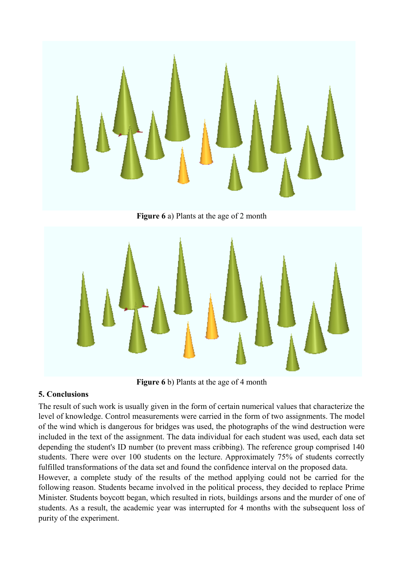

**Figure 6** a) Plants at the age of 2 month



**Figure 6** b) Plants at the age of 4 month

### **5. Conclusions**

The result of such work is usually given in the form of certain numerical values that characterize the level of knowledge. Control measurements were carried in the form of two assignments. The model of the wind which is dangerous for bridges was used, the photographs of the wind destruction were included in the text of the assignment. The data individual for each student was used, each data set depending the student's ID number (to prevent mass cribbing). The reference group comprised 140 students. There were over 100 students on the lecture. Approximately 75% of students correctly fulfilled transformations of the data set and found the confidence interval on the proposed data. However, a complete study of the results of the method applying could not be carried for the following reason. Students became involved in the political process, they decided to replace Prime Minister. Students boycott began, which resulted in riots, buildings arsons and the murder of one of students. As a result, the academic year was interrupted for 4 months with the subsequent loss of purity of the experiment.